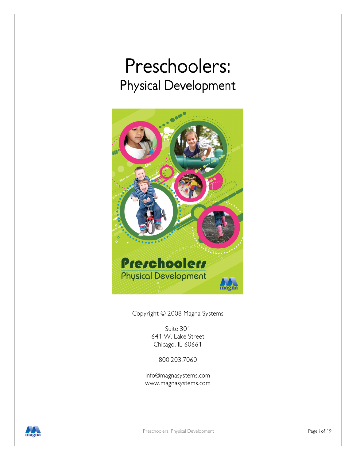# Preschoolers: Physical Development



Copyright © 2008 Magna Systems

Suite 301 641 W. Lake Street Chicago, IL 60661

800.203.7060

info@magnasystems.com www.magnasystems.com

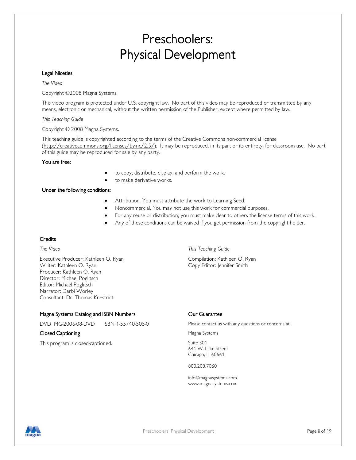# Preschoolers: Physical Development

#### Legal Niceties

The Video

Copyright ©2008 Magna Systems.

This video program is protected under U.S. copyright law. No part of this video may be reproduced or transmitted by any means, electronic or mechanical, without the written permission of the Publisher, except where permitted by law.

This Teaching Guide

Copyright © 2008 Magna Systems.

This teaching guide is copyrighted according to the terms of the Creative Commons non-commercial license (http://creativecommons.org/licenses/by-nc/2.5/). It may be reproduced, in its part or its entirety, for classroom use. No part of this guide may be reproduced for sale by any party.

#### You are free:

- to copy, distribute, display, and perform the work.
- to make derivative works.

#### Under the following conditions:

- Attribution. You must attribute the work to Learning Seed.
- Noncommercial. You may not use this work for commercial purposes.
- For any reuse or distribution, you must make clear to others the license terms of this work.
- Any of these conditions can be waived if you get permission from the copyright holder.

#### **Credits**

Executive Producer: Kathleen O. Ryan Compilation: Kathleen O. Ryan Writer: Kathleen O. Ryan Copy Editor: Jennifer Smith Producer: Kathleen O. Ryan Director: Michael Poglitsch Editor: Michael Poglitsch Narrator: Darbi Worley Consultant: Dr. Thomas Knestrict

The Video This Teaching Guide

#### Magna Systems Catalog and ISBN Numbers

#### Closed Captioning **Closed Captioning Closed Captioning Closed Captioning Magna Systems**

This program is closed-captioned. This program is closed-captioned.

#### Our Guarantee

DVD MG-2006-08-DVD ISBN 1-55740-505-0 Please contact us with any questions or concerns at:

641 W. Lake Street Chicago, IL 60661

800.203.7060

info@magnasystems.com www.magnasystems.com

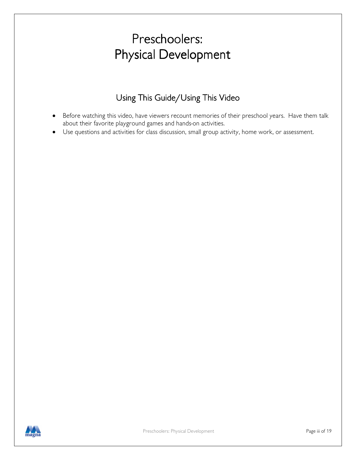# Preschoolers: Preschoolers: Physical Development

### Using This Guide/Using This Video

- Before watching this video, have viewers recount memories of their preschool years. Have them talk about their favorite playground games and hands-on activities.
- Use questions and activities for class discussion, small group activity, home work, or assessment.

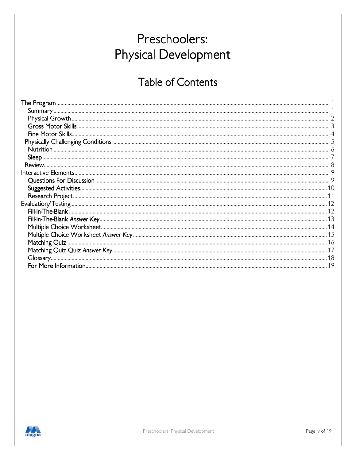# Preschoolers: **Physical Development**

# Table of Contents

| Nutrition<br>Sleep<br>Review |  |
|------------------------------|--|
|                              |  |
|                              |  |
|                              |  |
|                              |  |
|                              |  |
|                              |  |
|                              |  |
|                              |  |
|                              |  |
|                              |  |
|                              |  |
|                              |  |
|                              |  |
|                              |  |

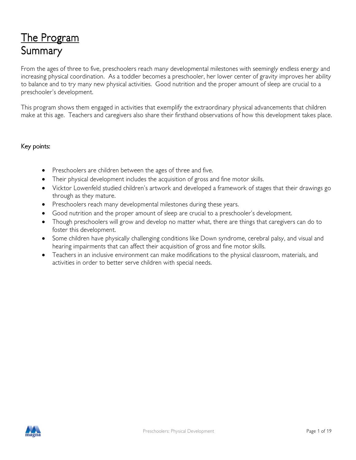# <u>The Program</u> Summary

From the ages of three to five, preschoolers reach many developmental milestones with seemingly endless energy and increasing physical coordination. As a toddler becomes a preschooler, her lower center of gravity improves her ability to balance and to try many new physical activities. Good nutrition and the proper amount of sleep are crucial to a preschooler's development.

This program shows them engaged in activities that exemplify the extraordinary physical advancements that children make at this age. Teachers and caregivers also share their firsthand observations of how this development takes place.

#### Key points:

- Preschoolers are children between the ages of three and five.
- Their physical development includes the acquisition of gross and fine motor skills.
- Vicktor Lowenfeld studied children's artwork and developed a framework of stages that their drawings go through as they mature.
- Preschoolers reach many developmental milestones during these years.
- Good nutrition and the proper amount of sleep are crucial to a preschooler's development.
- Though preschoolers will grow and develop no matter what, there are things that caregivers can do to foster this development.
- Some children have physically challenging conditions like Down syndrome, cerebral palsy, and visual and hearing impairments that can affect their acquisition of gross and fine motor skills.
- Teachers in an inclusive environment can make modifications to the physical classroom, materials, and activities in order to better serve children with special needs.

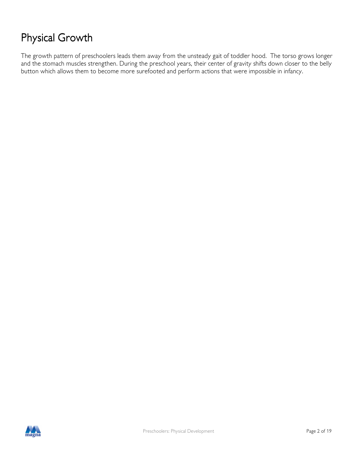# Physical Growth

The growth pattern of preschoolers leads them away from the unsteady gait of toddler hood. The torso grows longer and the stomach muscles strengthen. During the preschool years, their center of gravity shifts down closer to the belly button which allows them to become more surefooted and perform actions that were impossible in infancy.

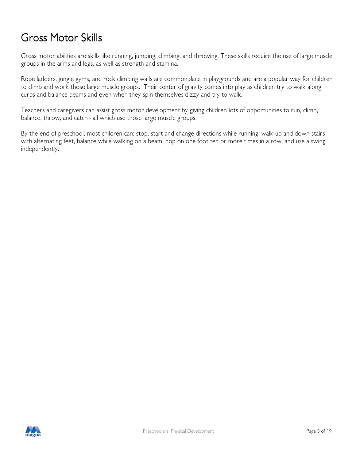## Gross Motor Skills

Gross motor abilities are skills like running, jumping, climbing, and throwing. These skills require the use of large muscle groups in the arms and legs, as well as strength and stamina.

Rope ladders, jungle gyms, and rock climbing walls are commonplace in playgrounds and are a popular way for children to climb and work those large muscle groups. Their center of gravity comes into play as children try to walk along curbs and balance beams and even when they spin themselves dizzy and try to walk.

Teachers and caregivers can assist gross motor development by giving children lots of opportunities to run, climb, balance, throw, and catch - all which use those large muscle groups.

By the end of preschool, most children can: stop, start and change directions while running, walk up and down stairs with alternating feet, balance while walking on a beam, hop on one foot ten or more times in a row, and use a swing independently.

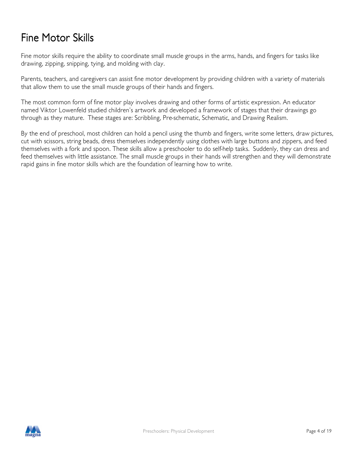## Fine Motor Skills

Fine motor skills require the ability to coordinate small muscle groups in the arms, hands, and fingers for tasks like drawing, zipping, snipping, tying, and molding with clay.

Parents, teachers, and caregivers can assist fine motor development by providing children with a variety of materials that allow them to use the small muscle groups of their hands and fingers.

The most common form of fine motor play involves drawing and other forms of artistic expression. An educator named Viktor Lowenfeld studied children's artwork and developed a framework of stages that their drawings go through as they mature. These stages are: Scribbling, Pre-schematic, Schematic, and Drawing Realism.

By the end of preschool, most children can hold a pencil using the thumb and fingers, write some letters, draw pictures, cut with scissors, string beads, dress themselves independently using clothes with large buttons and zippers, and feed themselves with a fork and spoon. These skills allow a preschooler to do self-help tasks. Suddenly, they can dress and feed themselves with little assistance. The small muscle groups in their hands will strengthen and they will demonstrate rapid gains in fine motor skills which are the foundation of learning how to write.

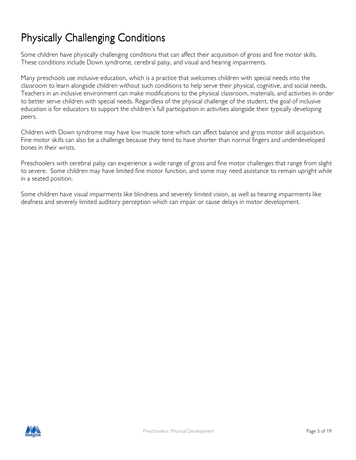# Physically Challenging Conditions

Some children have physically challenging conditions that can affect their acquisition of gross and fine motor skills. These conditions include Down syndrome, cerebral palsy, and visual and hearing impairments.

Many preschools use inclusive education, which is a practice that welcomes children with special needs into the classroom to learn alongside children without such conditions to help serve their physical, cognitive, and social needs. Teachers in an inclusive environment can make modifications to the physical classroom, materials, and activities in order to better serve children with special needs. Regardless of the physical challenge of the student, the goal of inclusive education is for educators to support the children's full participation in activities alongside their typically developing peers.

Children with Down syndrome may have low muscle tone which can affect balance and gross motor skill acquisition. Fine motor skills can also be a challenge because they tend to have shorter than normal fingers and underdeveloped bones in their wrists.

Preschoolers with cerebral palsy can experience a wide range of gross and fine motor challenges that range from slight to severe. Some children may have limited fine motor function, and some may need assistance to remain upright while in a seated position.

Some children have visual impairments like blindness and severely limited vision, as well as hearing impairments like deafness and severely limited auditory perception which can impair or cause delays in motor development.

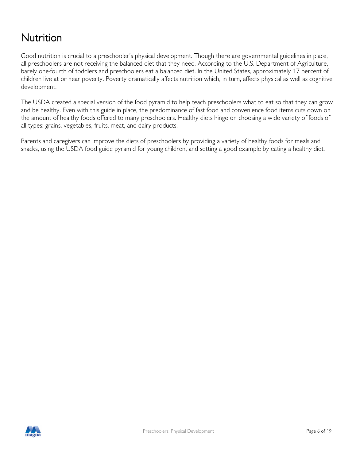## Nutrition

Good nutrition is crucial to a preschooler's physical development. Though there are governmental guidelines in place, all preschoolers are not receiving the balanced diet that they need. According to the U.S. Department of Agriculture, barely one-fourth of toddlers and preschoolers eat a balanced diet. In the United States, approximately 17 percent of children live at or near poverty. Poverty dramatically affects nutrition which, in turn, affects physical as well as cognitive development.

The USDA created a special version of the food pyramid to help teach preschoolers what to eat so that they can grow and be healthy. Even with this guide in place, the predominance of fast food and convenience food items cuts down on the amount of healthy foods offered to many preschoolers. Healthy diets hinge on choosing a wide variety of foods of all types: grains, vegetables, fruits, meat, and dairy products.

Parents and caregivers can improve the diets of preschoolers by providing a variety of healthy foods for meals and snacks, using the USDA food guide pyramid for young children, and setting a good example by eating a healthy diet.

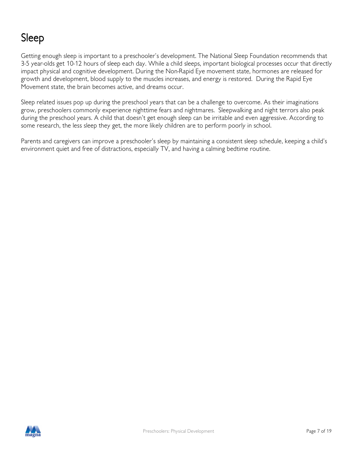# Sleep

Getting enough sleep is important to a preschooler's development. The National Sleep Foundation recommends that 3-5 year-olds get 10-12 hours of sleep each day. While a child sleeps, important biological processes occur that directly impact physical and cognitive development. During the Non-Rapid Eye movement state, hormones are released for growth and development, blood supply to the muscles increases, and energy is restored. During the Rapid Eye Movement state, the brain becomes active, and dreams occur.

Sleep related issues pop up during the preschool years that can be a challenge to overcome. As their imaginations grow, preschoolers commonly experience nighttime fears and nightmares. Sleepwalking and night terrors also peak during the preschool years. A child that doesn't get enough sleep can be irritable and even aggressive. According to some research, the less sleep they get, the more likely children are to perform poorly in school.

Parents and caregivers can improve a preschooler's sleep by maintaining a consistent sleep schedule, keeping a child's environment quiet and free of distractions, especially TV, and having a calming bedtime routine.

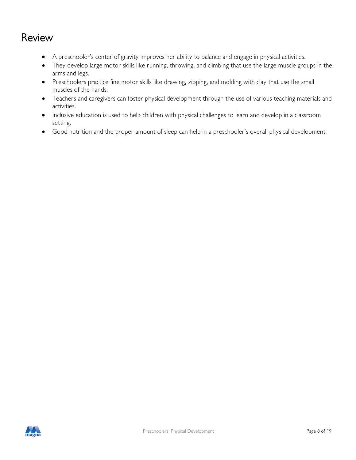### Review

- A preschooler's center of gravity improves her ability to balance and engage in physical activities.
- They develop large motor skills like running, throwing, and climbing that use the large muscle groups in the arms and legs.
- Preschoolers practice fine motor skills like drawing, zipping, and molding with clay that use the small muscles of the hands.
- Teachers and caregivers can foster physical development through the use of various teaching materials and activities.
- Inclusive education is used to help children with physical challenges to learn and develop in a classroom setting.
- Good nutrition and the proper amount of sleep can help in a preschooler's overall physical development.

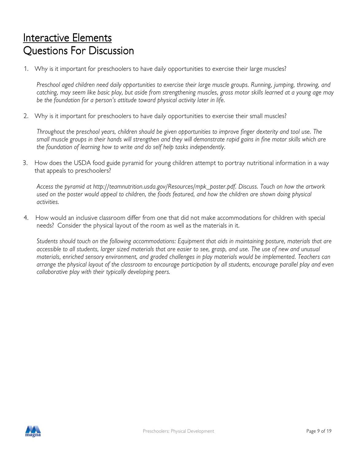# Interactive Elements Questions For Discussion

1. Why is it important for preschoolers to have daily opportunities to exercise their large muscles?

Preschool aged children need daily opportunities to exercise their large muscle groups. Running, jumping, throwing, and catching, may seem like basic play, but aside from strengthening muscles, gross motor skills learned at a young age may be the foundation for a person's attitude toward physical activity later in life.

2. Why is it important for preschoolers to have daily opportunities to exercise their small muscles?

Throughout the preschool years, children should be given opportunities to improve finger dexterity and tool use. The small muscle groups in their hands will strengthen and they will demonstrate rapid gains in fine motor skills which are the foundation of learning how to write and do self help tasks independently.

3. How does the USDA food guide pyramid for young children attempt to portray nutritional information in a way that appeals to preschoolers?

Access the pyramid at http://teamnutrition.usda.gov/Resources/mpk\_poster.pdf. Discuss. Touch on how the artwork used on the poster would appeal to children, the foods featured, and how the children are shown doing physical activities.

4. How would an inclusive classroom differ from one that did not make accommodations for children with special needs? Consider the physical layout of the room as well as the materials in it.

Students should touch on the following accommodations: Equipment that aids in maintaining posture, materials that are accessible to all students, larger sized materials that are easier to see, grasp, and use. The use of new and unusual materials, enriched sensory environment, and graded challenges in play materials would be implemented. Teachers can arrange the physical layout of the classroom to encourage participation by all students, encourage parallel play and even collaborative play with their typically developing peers.

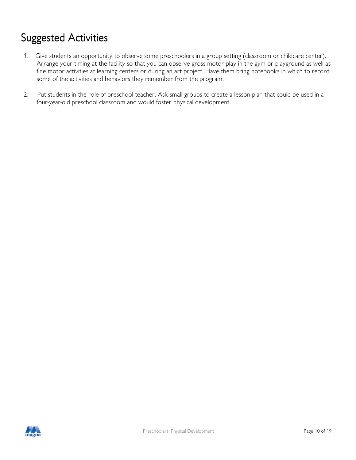# Suggested Activities

- 1. Give students an opportunity to observe some preschoolers in a group setting (classroom or childcare center). Arrange your timing at the facility so that you can observe gross motor play in the gym or playground as well as fine motor activities at learning centers or during an art project. Have them bring notebooks in which to record some of the activities and behaviors they remember from the program.
- 2. Put students in the role of preschool teacher. Ask small groups to create a lesson plan that could be used in a four-year-old preschool classroom and would foster physical development.

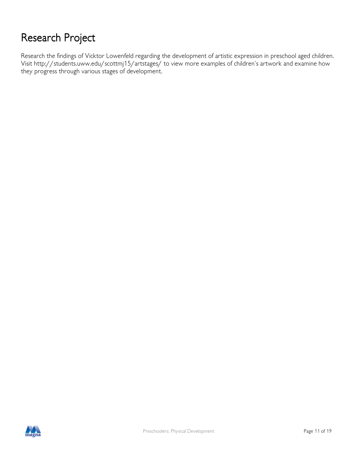# Research Project

Research the findings of Vicktor Lowenfeld regarding the development of artistic expression in preschool aged children. Visit http://students.uww.edu/scottmj15/artstages/ to view more examples of children's artwork and examine how they progress through various stages of development.

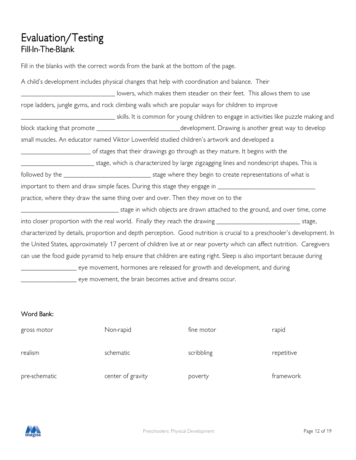### Evaluation/Testing Fill-In-The-Blank

Fill in the blanks with the correct words from the bank at the bottom of the page.

| A child's development includes physical changes that help with coordination and balance. Their                             |  |
|----------------------------------------------------------------------------------------------------------------------------|--|
| lowers, which makes them steadier on their feet. This allows them to use                                                   |  |
| rope ladders, jungle gyms, and rock climbing walls which are popular ways for children to improve                          |  |
| ____________________________________skills. It is common for young children to engage in activities like puzzle making and |  |
| block stacking that promote ____________________________development. Drawing is another great way to develop               |  |
| small muscles. An educator named Viktor Lowenfeld studied children's artwork and developed a                               |  |
|                                                                                                                            |  |
| stage, which is characterized by large zigzagging lines and nondescript shapes. This is thanking thanking the s            |  |
|                                                                                                                            |  |
|                                                                                                                            |  |
| practice, where they draw the same thing over and over. Then they move on to the                                           |  |
| _________________________________stage in which objects are drawn attached to the ground, and over time, come              |  |
| into closer proportion with the real world. Finally they reach the drawing _______________________________ stage,          |  |
| characterized by details, proportion and depth perception. Good nutrition is crucial to a preschooler's development. In    |  |
| the United States, approximately 17 percent of children live at or near poverty which can affect nutrition. Caregivers     |  |
| can use the food guide pyramid to help ensure that children are eating right. Sleep is also important because during       |  |
| _________ eye movement, hormones are released for growth and development, and during                                       |  |
| eye movement, the brain becomes active and dreams occur.                                                                   |  |

#### Word Bank:

| gross motor   | Non-rapid         | fine motor | rapid      |
|---------------|-------------------|------------|------------|
| realism       | schematic         | scribbling | repetitive |
| pre-schematic | center of gravity | poverty    | framework  |

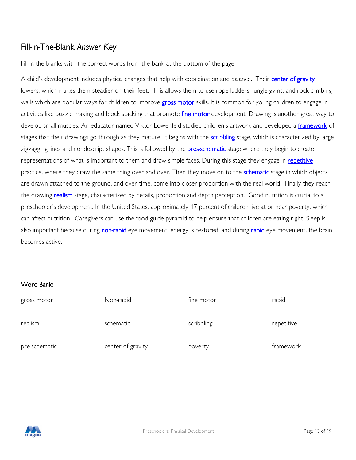### Fill-In-The-Blank Answer Key

Fill in the blanks with the correct words from the bank at the bottom of the page.

A child's development includes physical changes that help with coordination and balance. Their center of gravity lowers, which makes them steadier on their feet. This allows them to use rope ladders, jungle gyms, and rock climbing walls which are popular ways for children to improve **gross motor** skills. It is common for young children to engage in activities like puzzle making and block stacking that promote fine motor development. Drawing is another great way to develop small muscles. An educator named Viktor Lowenfeld studied children's artwork and developed a framework of stages that their drawings go through as they mature. It begins with the **scribbling** stage, which is characterized by large zigzagging lines and nondescript shapes. This is followed by the **pres-schematic** stage where they begin to create representations of what is important to them and draw simple faces. During this stage they engage in repetitive practice, where they draw the same thing over and over. Then they move on to the **schematic** stage in which objects are drawn attached to the ground, and over time, come into closer proportion with the real world. Finally they reach the drawing **realism** stage, characterized by details, proportion and depth perception. Good nutrition is crucial to a preschooler's development. In the United States, approximately 17 percent of children live at or near poverty, which can affect nutrition. Caregivers can use the food guide pyramid to help ensure that children are eating right. Sleep is also important because during non-rapid eye movement, energy is restored, and during rapid eye movement, the brain becomes active.

#### Word Bank:

| gross motor   | Non-rapid         | fine motor | rapid      |
|---------------|-------------------|------------|------------|
| realism       | schematic         | scribbling | repetitive |
| pre-schematic | center of gravity | poverty    | framework  |

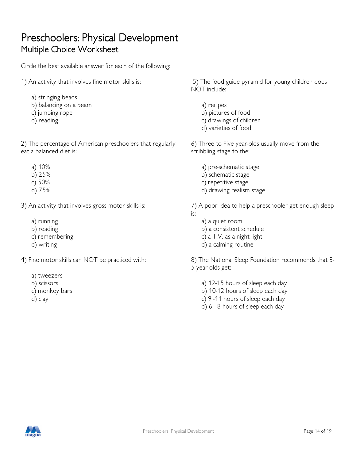### Preschoolers: Physical Development Multiple Choice Worksheet

Circle the best available answer for each of the following:

- 1) An activity that involves fine motor skills is:
	- a) stringing beads
	- b) balancing on a beam
	- c) jumping rope
	- d) reading

2) The percentage of American preschoolers that regularly eat a balanced diet is:

- a) 10%
- b) 25%
- c) 50%
- d) 75%

3) An activity that involves gross motor skills is:

- a) running
- b) reading
- c) remembering
- d) writing

4) Fine motor skills can NOT be practiced with:

- a) tweezers
- b) scissors
- c) monkey bars
- d) clay

 5) The food guide pyramid for young children does NOT include:

- a) recipes
- b) pictures of food
- c) drawings of children
- d) varieties of food

6) Three to Five year-olds usually move from the scribbling stage to the:

- a) pre-schematic stage
- b) schematic stage
- c) repetitive stage
- d) drawing realism stage

7) A poor idea to help a preschooler get enough sleep is:

- a) a quiet room
- b) a consistent schedule
- c) a T.V. as a night light
- d) a calming routine

8) The National Sleep Foundation recommends that 3- 5 year-olds get:

- a) 12-15 hours of sleep each day
- b) 10-12 hours of sleep each day
- c) 9 -11 hours of sleep each day
- d) 6 8 hours of sleep each day

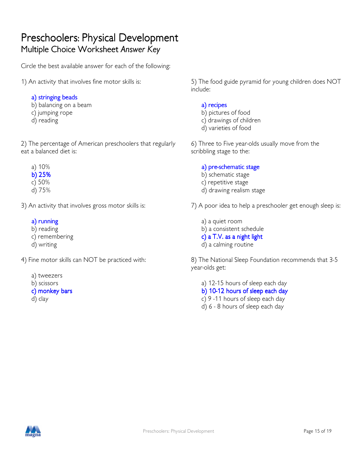### Preschoolers: Physical Development Multiple Choice Worksheet Answer Key

Circle the best available answer for each of the following:

- 1) An activity that involves fine motor skills is:
	- a) stringing beads

b) balancing on a beam

- c) jumping rope
- d) reading

2) The percentage of American preschoolers that regularly eat a balanced diet is:

- a) 10%
- b)  $25%$
- c) 50%
- d) 75%

3) An activity that involves gross motor skills is:

#### a) running

- b) reading
- c) remembering
- d) writing

4) Fine motor skills can NOT be practiced with:

- a) tweezers
- b) scissors
- c) monkey bars
- d) clay

5) The food guide pyramid for young children does NOT include:

#### a) recipes

- b) pictures of food
- c) drawings of children
- d) varieties of food

6) Three to Five year-olds usually move from the scribbling stage to the:

#### a) pre-schematic stage

- b) schematic stage
- c) repetitive stage
- d) drawing realism stage

7) A poor idea to help a preschooler get enough sleep is:

- a) a quiet room
- b) a consistent schedule
- $c)$  a T.V. as a night light
- d) a calming routine

8) The National Sleep Foundation recommends that 3-5 year-olds get:

a) 12-15 hours of sleep each day

b) 10-12 hours of sleep each day

- c) 9 -11 hours of sleep each day
- d) 6 8 hours of sleep each day

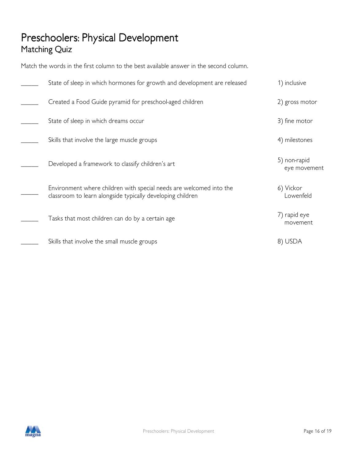### Preschoolers: Physical Development Matching Quiz

Match the words in the first column to the best available answer in the second column.

| State of sleep in which hormones for growth and development are released                                                          | 1) inclusive                 |
|-----------------------------------------------------------------------------------------------------------------------------------|------------------------------|
| Created a Food Guide pyramid for preschool-aged children                                                                          | 2) gross motor               |
| State of sleep in which dreams occur                                                                                              | 3) fine motor                |
| Skills that involve the large muscle groups                                                                                       | 4) milestones                |
| Developed a framework to classify children's art                                                                                  | 5) non-rapid<br>eye movement |
| Environment where children with special needs are welcomed into the<br>classroom to learn alongside typically developing children | 6) Vickor<br>Lowenfeld       |
| Tasks that most children can do by a certain age                                                                                  | 7) rapid eye<br>movement     |
| Skills that involve the small muscle groups                                                                                       | 8) USDA                      |

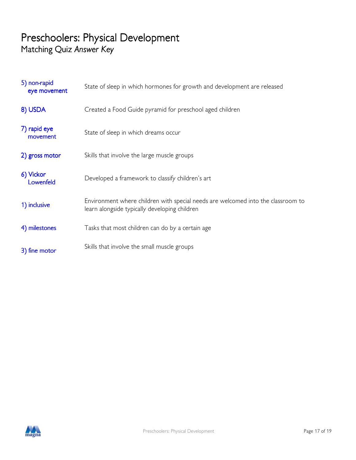### Preschoolers: Physical Development Matching Quiz Answer Key

| 5) non-rapid<br>eye movement | State of sleep in which hormones for growth and development are released                                                          |
|------------------------------|-----------------------------------------------------------------------------------------------------------------------------------|
| 8) USDA                      | Created a Food Guide pyramid for preschool aged children                                                                          |
| 7) rapid eye<br>movement     | State of sleep in which dreams occur                                                                                              |
| 2) gross motor               | Skills that involve the large muscle groups                                                                                       |
| 6) Vickor<br>Lowenfeld       | Developed a framework to classify children's art                                                                                  |
| 1) inclusive                 | Environment where children with special needs are welcomed into the classroom to<br>learn alongside typically developing children |
| 4) milestones                | Tasks that most children can do by a certain age                                                                                  |
| 3) fine motor                | Skills that involve the small muscle groups                                                                                       |

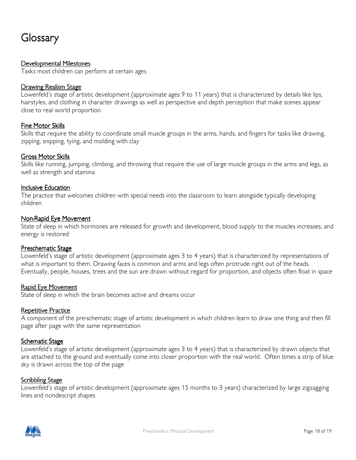## Glossary

#### Developmental Milestones

Tasks most children can perform at certain ages

#### Drawing Realism Stage

Lowenfeld's stage of artistic development (approximate ages 9 to 11 years) that is characterized by details like lips, hairstyles, and clothing in character drawings as well as perspective and depth perception that make scenes appear close to real world proportion

#### Fine Motor Skills

Skills that require the ability to coordinate small muscle groups in the arms, hands, and fingers for tasks like drawing, zipping, snipping, tying, and molding with clay

#### Gross Motor Skills

Skills like running, jumping, climbing, and throwing that require the use of large muscle groups in the arms and legs, as well as strength and stamina

#### Inclusive Education

The practice that welcomes children with special needs into the classroom to learn alongside typically developing children

#### Non-Rapid Eye Movement

State of sleep in which hormones are released for growth and development, blood supply to the muscles increases, and energy is restored

#### **Preschematic Stage**

Lowenfeld's stage of artistic development (approximate ages 3 to 4 years) that is characterized by representations of what is important to them. Drawing faces is common and arms and legs often protrude right out of the heads. Eventually, people, houses, trees and the sun are drawn without regard for proportion, and objects often float in space

#### Rapid Eye Movement

State of sleep in which the brain becomes active and dreams occur

#### Repetitive Practice

A component of the pre-schematic stage of artistic development in which children learn to draw one thing and then fill page after page with the same representation

#### Schematic Stage

Lowenfeld's stage of artistic development (approximate ages 3 to 4 years) that is characterized by drawn objects that are attached to the ground and eventually come into closer proportion with the real world. Often times a strip of blue sky is drawn across the top of the page

#### **Scribbling Stage**

Lowenfeld's stage of artistic development (approximate ages 15 months to 3 years) characterized by large zigzagging lines and nondescript shapes